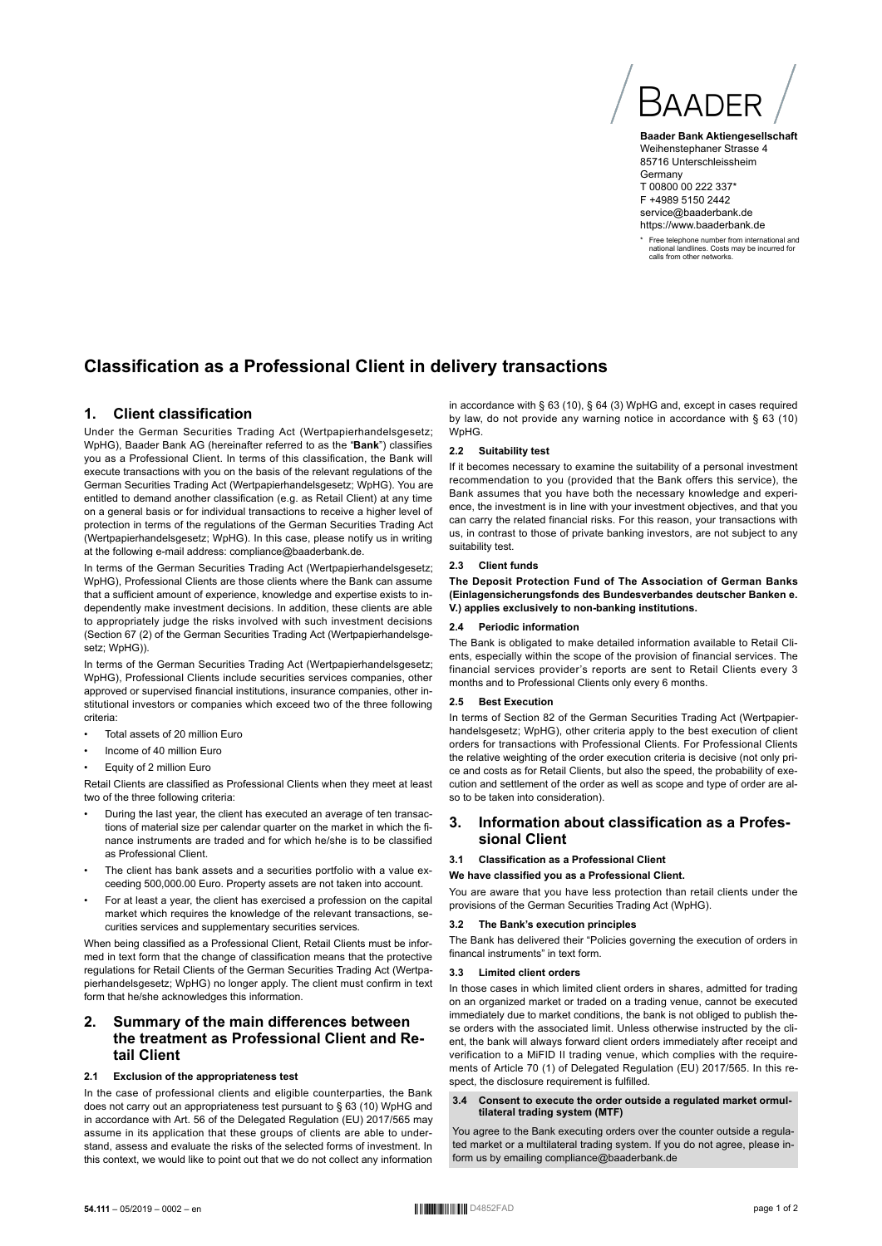Baadef

**Baader Bank Aktiengesellschaft** Weihenstephaner Strasse 4 85716 Unterschleissheim **Germany** T 00800 00 222 337\* F +4989 5150 2442 service@baaderbank.de https://www.baaderbank.de

\* Free telephone number from international and national landlines. Costs may be incurred for calls from other networks.

# **Classification as a Professional Client in delivery transactions**

# **1. Client classification**

Under the German Securities Trading Act (Wertpapierhandelsgesetz; WpHG), Baader Bank AG (hereinafter referred to as the "**Bank**") classifies you as a Professional Client. In terms of this classification, the Bank will execute transactions with you on the basis of the relevant regulations of the German Securities Trading Act (Wertpapierhandelsgesetz; WpHG). You are entitled to demand another classification (e.g. as Retail Client) at any time on a general basis or for individual transactions to receive a higher level of protection in terms of the regulations of the German Securities Trading Act (Wertpapierhandelsgesetz; WpHG). In this case, please notify us in writing at the following e-mail address: compliance@baaderbank.de.

In terms of the German Securities Trading Act (Wertpapierhandelsgesetz; WpHG), Professional Clients are those clients where the Bank can assume that a sufficient amount of experience, knowledge and expertise exists to independently make investment decisions. In addition, these clients are able to appropriately judge the risks involved with such investment decisions (Section 67 (2) of the German Securities Trading Act (Wertpapierhandelsgesetz: WpHG)).

In terms of the German Securities Trading Act (Wertpapierhandelsgesetz; WpHG), Professional Clients include securities services companies, other approved or supervised financial institutions, insurance companies, other institutional investors or companies which exceed two of the three following criteria:

- Total assets of 20 million Euro
- Income of 40 million Euro
- Equity of 2 million Euro

Retail Clients are classified as Professional Clients when they meet at least two of the three following criteria:

- During the last year, the client has executed an average of ten transactions of material size per calendar quarter on the market in which the finance instruments are traded and for which he/she is to be classified as Professional Client.
- The client has bank assets and a securities portfolio with a value exceeding 500,000.00 Euro. Property assets are not taken into account.
- For at least a year, the client has exercised a profession on the capital market which requires the knowledge of the relevant transactions, securities services and supplementary securities services.

When being classified as a Professional Client, Retail Clients must be informed in text form that the change of classification means that the protective regulations for Retail Clients of the German Securities Trading Act (Wertpapierhandelsgesetz; WpHG) no longer apply. The client must confirm in text form that he/she acknowledges this information.

# **2. Summary of the main differences between the treatment as Professional Client and Retail Client**

# **2.1 Exclusion of the appropriateness test**

In the case of professional clients and eligible counterparties, the Bank does not carry out an appropriateness test pursuant to § 63 (10) WpHG and in accordance with Art. 56 of the Delegated Regulation (EU) 2017/565 may assume in its application that these groups of clients are able to understand, assess and evaluate the risks of the selected forms of investment. In this context, we would like to point out that we do not collect any information

in accordance with § 63 (10), § 64 (3) WpHG and, except in cases required by law, do not provide any warning notice in accordance with § 63 (10) WpHG.

#### **2.2 Suitability test**

If it becomes necessary to examine the suitability of a personal investment recommendation to you (provided that the Bank offers this service), the Bank assumes that you have both the necessary knowledge and experience, the investment is in line with your investment objectives, and that you can carry the related financial risks. For this reason, your transactions with us, in contrast to those of private banking investors, are not subject to any suitability test.

#### **2.3 Client funds**

**The Deposit Protection Fund of The Association of German Banks (Einlagensicherungsfonds des Bundesverbandes deutscher Banken e. V.) applies exclusively to non-banking institutions.**

### **2.4 Periodic information**

The Bank is obligated to make detailed information available to Retail Clients, especially within the scope of the provision of financial services. The financial services provider's reports are sent to Retail Clients every 3 months and to Professional Clients only every 6 months.

#### **2.5 Best Execution**

In terms of Section 82 of the German Securities Trading Act (Wertpapierhandelsgesetz; WpHG), other criteria apply to the best execution of client orders for transactions with Professional Clients. For Professional Clients the relative weighting of the order execution criteria is decisive (not only price and costs as for Retail Clients, but also the speed, the probability of execution and settlement of the order as well as scope and type of order are also to be taken into consideration).

# **3. Information about classification as a Professional Client**

### **3.1 Classification as a Professional Client**

**We have classified you as a Professional Client.**

You are aware that you have less protection than retail clients under the provisions of the German Securities Trading Act (WpHG).

### **3.2 The Bank's execution principles**

The Bank has delivered their "Policies governing the execution of orders in financal instruments" in text form.

#### **3.3 Limited client orders**

In those cases in which limited client orders in shares, admitted for trading on an organized market or traded on a trading venue, cannot be executed immediately due to market conditions, the bank is not obliged to publish these orders with the associated limit. Unless otherwise instructed by the client, the bank will always forward client orders immediately after receipt and verification to a MiFID II trading venue, which complies with the requirements of Article 70 (1) of Delegated Regulation (EU) 2017/565. In this respect, the disclosure requirement is fulfilled.

#### **3.4 Consent to execute the order outside a regulated market ormultilateral trading system (MTF)**

You agree to the Bank executing orders over the counter outside a regulated market or a multilateral trading system. If you do not agree, please inform us by emailing compliance@baaderbank.de